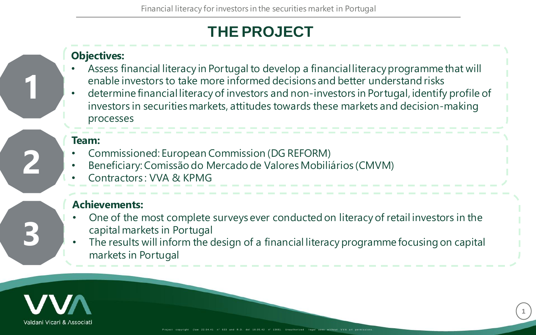# **THE PROJECT**

#### **Objectives:**

- Assess financial literacy in Portugal to develop a financial literacy programme that will enable investors to take more informed decisions and better understand risks
- determine financial literacy of investors and non-investors in Portugal, identify profile of investors in securities markets, attitudes towards these markets and decision-making processes

#### **Team:**

**1**

**2**

**3**

- Commissioned: European Commission (DG REFORM)
- Beneficiary: Comissão do Mercado de Valores Mobiliários (CMVM)
- Contractors : VVA & KPMG

#### **Achievements:**

- One of the most complete surveys ever conducted on literacy of retail investors in the capital markets in Portugal
- The results will inform the design of a financial literacy programme focusing on capital markets in Portugal

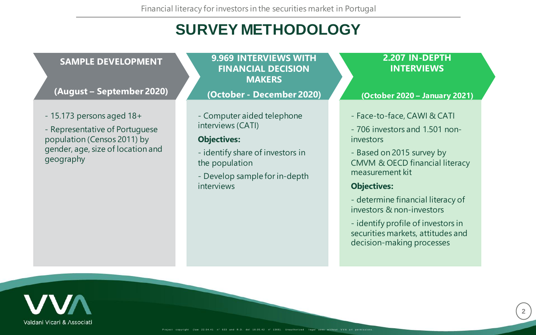# **SURVEY METHODOLOGY**

#### **SAMPLE DEVELOPMENT**

**(August – September 2020)**

- 15.173 persons aged 18+

- Representative of Portuguese population (Censos 2011) by gender, age, size of location and geography

**9.969 INTERVIEWS WITH FINANCIAL DECISION MAKERS**

**(October - December 2020)**

- Computer aided telephone interviews (CATI)

#### **Objectives:**

- identify share of investors in the population
- Develop sample for in-depth interviews

#### **2.207 IN-DEPTH INTERVIEWS**

**(October 2020 – January 2021)**

- Face-to-face, CAWI & CATI
- 706 investors and 1.501 noninvestors
- Based on 2015 survey by CMVM & OECD financial literacy measurement kit

#### **Objectives:**

- determine financial literacy of investors & non-investors
- identify profile of investors in securities markets, attitudes and decision-making processes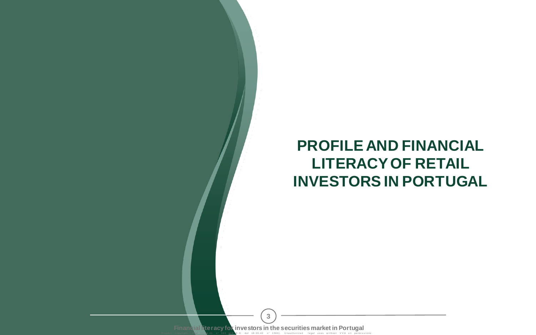# **PROFILE AND FINANCIAL LITERACY OF RETAIL INVESTORS IN PORTUGAL**

R . D . del 18.05.42 n° 1369) . **Financial literacy for investors in the securities market in Portugal 3**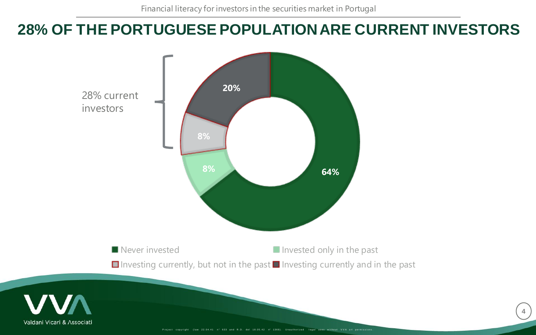#### **28% OF THE PORTUGUESE POPULATION ARE CURRENT INVESTORS**

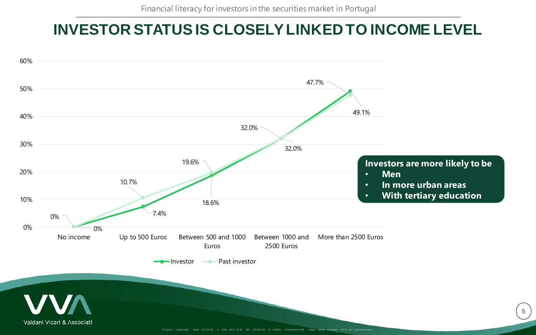## **INVESTOR STATUS IS CLOSELY LINKED TO INCOME LEVEL**

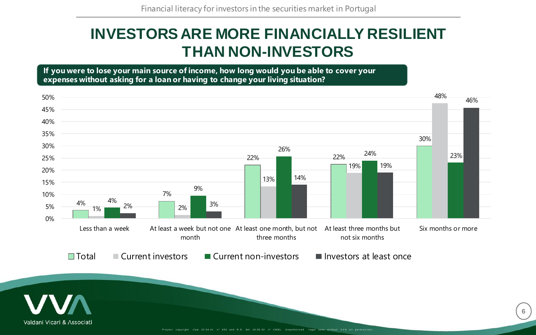### **INVESTORS ARE MORE FINANCIALLY RESILIENT THAN NON-INVESTORS**

**If you were to lose your main source of income, how long would you be able to cover your expenses without asking for a loan or having to change your living situation?**



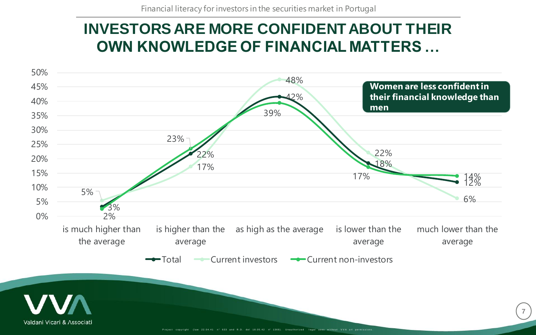#### **INVESTORS ARE MORE CONFIDENT ABOUT THEIR OWN KNOWLEDGE OF FINANCIAL MATTERS …**

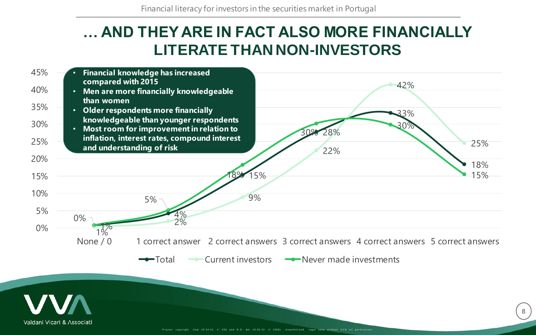#### **… AND THEY ARE IN FACT ALSO MORE FINANCIALLY LITERATE THAN NON-INVESTORS**

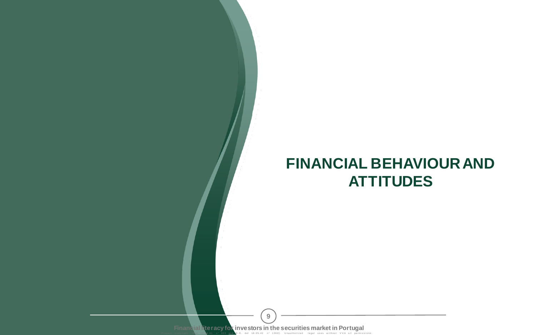#### **FINANCIAL BEHAVIOUR AND ATTITUDES**

Financial Reracy for investors in the securities market in Portugal **9**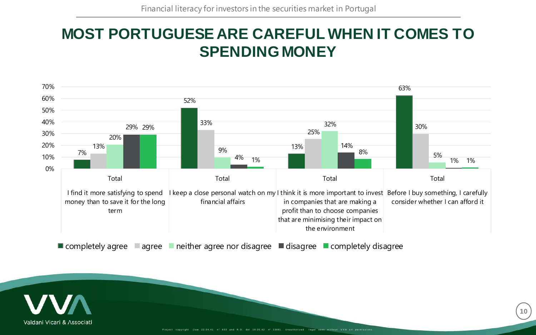## **MOST PORTUGUESE ARE CAREFUL WHEN IT COMES TO SPENDING MONEY**



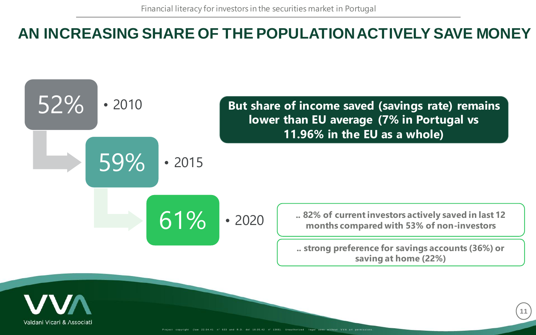# AN INCREASING SHARE OF THE POPULATION ACTIVELY SAVE MONEY



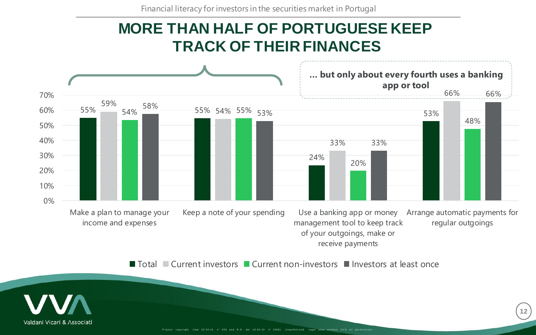Financial literacy for investors in the securities market in Portugal

#### **MORE THAN HALF OF PORTUGUESE KEEP TRACK OF THEIR FINANCES**



■ Total ■ Current investors ■ Current non-investors ■ Investors at least once

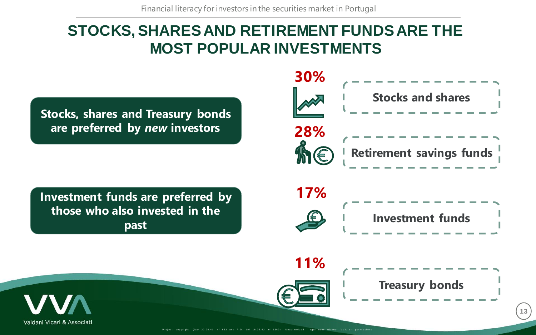## **STOCKS, SHARES AND RETIREMENT FUNDS ARE THE MOST POPULAR INVESTMENTS**

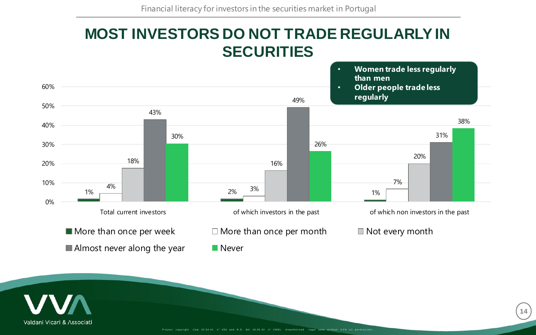#### **MOST INVESTORS DO NOT TRADE REGULARLY IN SECURITIES**



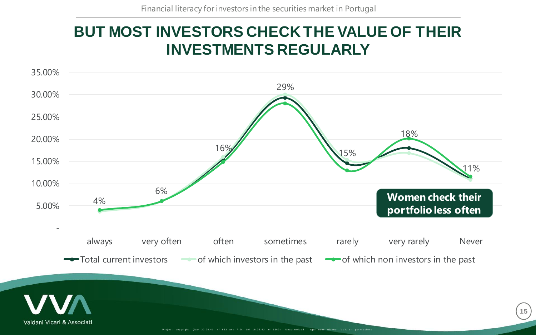## **BUT MOST INVESTORS CHECK THE VALUE OF THEIR INVESTMENTS REGULARLY**

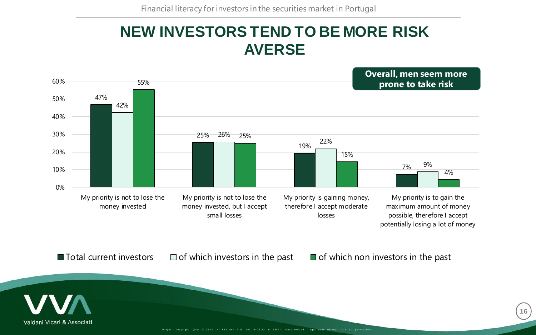#### **NEW INVESTORS TEND TO BE MORE RISK AVERSE**

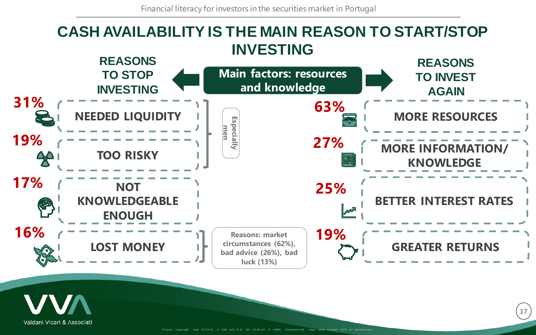

Valdani Vicari & Associati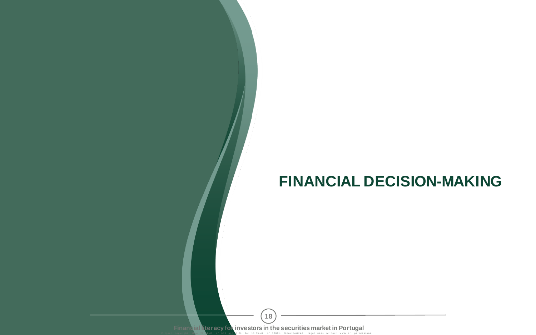# **FINANCIAL DECISION-MAKING**

Financial Reracy for investors in the securities market in Portugal **18**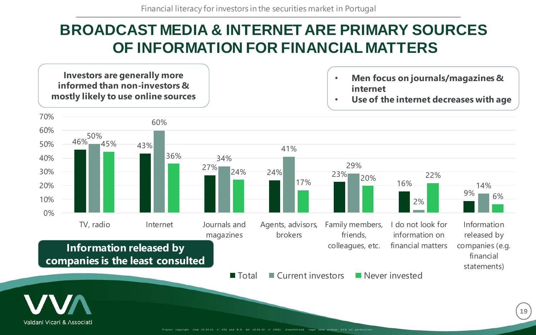# **BROADCAST MEDIA & INTERNET ARE PRIMARY SOURCES OF INFORMATION FOR FINANCIAL MATTERS**

**Investors are generally more informed than non-investors & mostly likely to use online sources**

- **Men focus on journals/magazines & internet**
- **Use of the internet decreases with age**

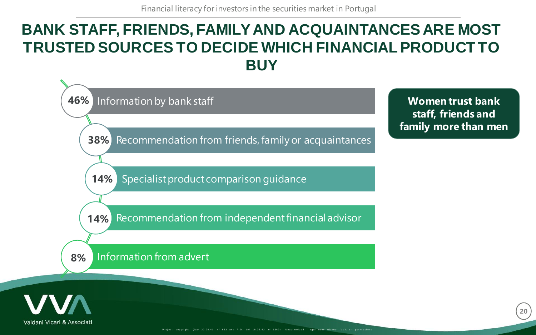## **BANK STAFF, FRIENDS, FAMILY AND ACQUAINTANCES ARE MOST TRUSTED SOURCES TO DECIDE WHICH FINANCIAL PRODUCT TO BUY**

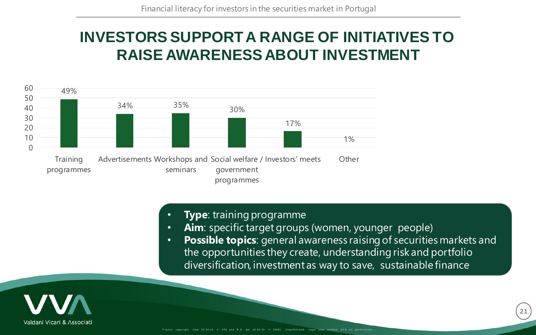# **INVESTORS SUPPORT A RANGE OF INITIATIVES TO RAISE AWARENESS ABOUT INVESTMENT**



- **Type**: training programme
- **Aim**: specific target groups (women, younger people)
- **Possible topics**: general awareness raising of securities markets and the opportunities they create, understanding risk and portfolio diversification, investment as way to save, sustainable finance